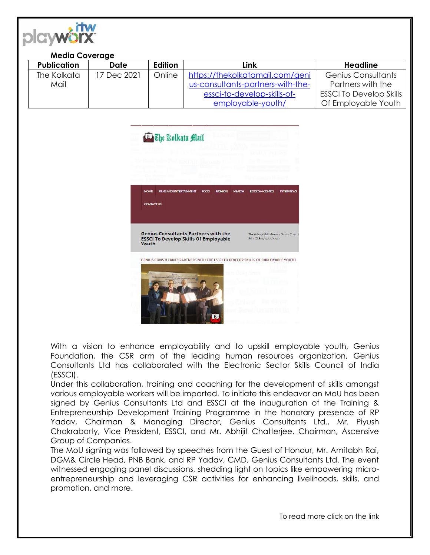

## **Media Coverage**

| <b>Publication</b> | Date        | Edition | Link                              | Headline                       |
|--------------------|-------------|---------|-----------------------------------|--------------------------------|
| The Kolkata        | 17 Dec 2021 | Online  | https://thekolkatamail.com/geni   | Genius Consultants             |
| Mail               |             |         | us-consultants-partners-with-the- | Partners with the              |
|                    |             |         | essci-to-develop-skills-of-       | <b>ESSCI To Develop Skills</b> |
|                    |             |         | employable-youth/                 | Of Employable Youth            |



With a vision to enhance employability and to upskill employable youth, Genius Foundation, the CSR arm of the leading human resources organization, Genius Consultants Ltd has collaborated with the Electronic Sector Skills Council of India (ESSCI).

Under this collaboration, training and coaching for the development of skills amongst various employable workers will be imparted. To initiate this endeavor an MoU has been signed by Genius Consultants Ltd and ESSCI at the inauguration of the Training & Entrepreneurship Development Training Programme in the honorary presence of RP Yadav, Chairman & Managing Director, Genius Consultants Ltd., Mr. Piyush Chakraborty, Vice President, ESSCI, and Mr. Abhijit Chatterjee, Chairman, Ascensive Group of Companies.

The MoU signing was followed by speeches from the Guest of Honour, Mr. Amitabh Rai, DGM& Circle Head, PNB Bank, and RP Yadav, CMD, Genius Consultants Ltd. The event witnessed engaging panel discussions, shedding light on topics like empowering microentrepreneurship and leveraging CSR activities for enhancing livelihoods, skills, and promotion, and more.